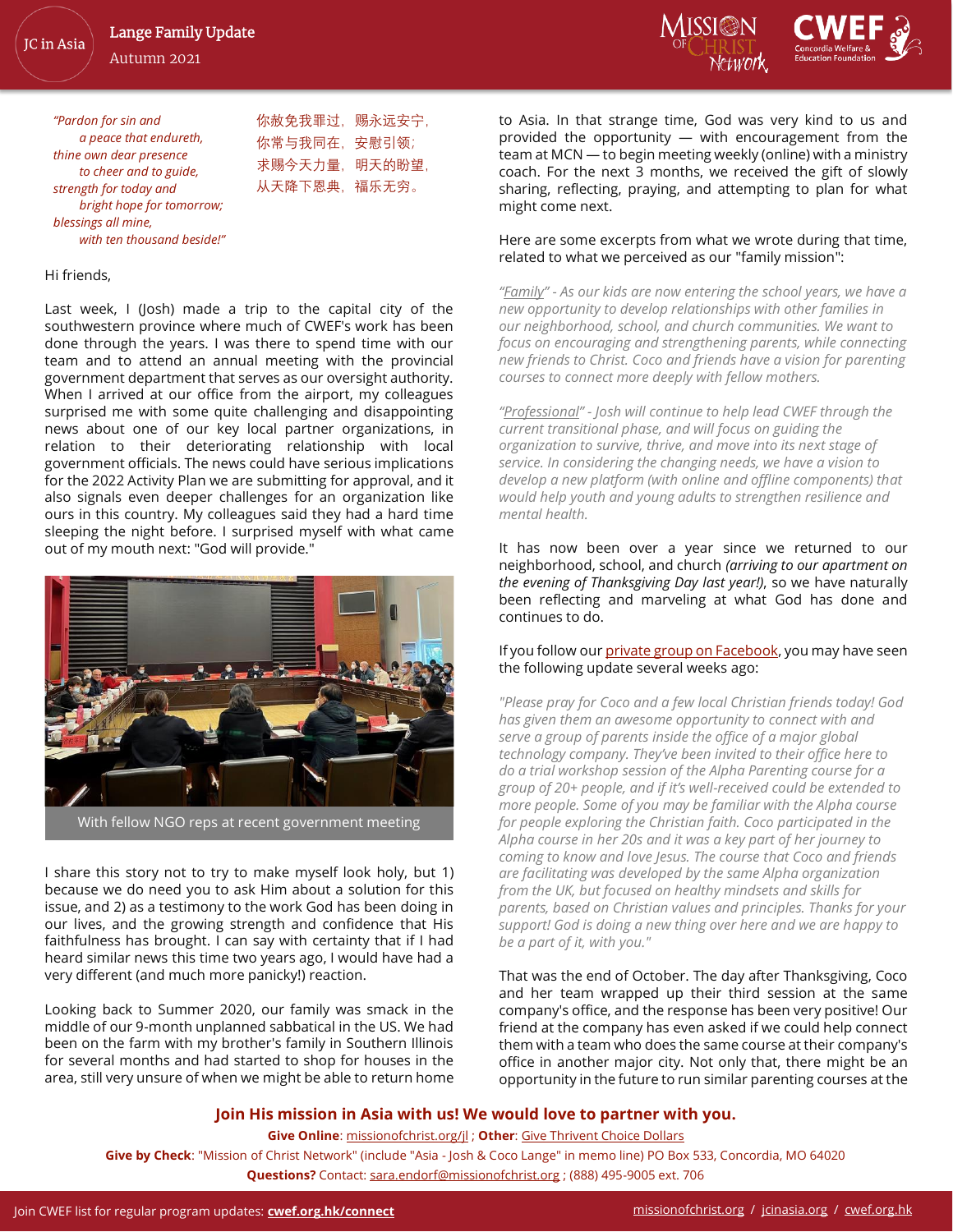JC in Asia

Autumn 2021



*"Pardon for sin and a peace that endureth, thine own dear presence to cheer and to guide, strength for today and bright hope for tomorrow; blessings all mine, with ten thousand beside!"*

你赦免我罪过,赐永远安宁, 你常与我同在,安慰引领; 求赐今天力量, 明天的盼望, 从天降下恩典,福乐无穷。

#### Hi friends,

Last week, I (Josh) made a trip to the capital city of the southwestern province where much of CWEF's work has been done through the years. I was there to spend time with our team and to attend an annual meeting with the provincial government department that serves as our oversight authority. When I arrived at our office from the airport, my colleagues surprised me with some quite challenging and disappointing news about one of our key local partner organizations, in relation to their deteriorating relationship with local government officials. The news could have serious implications for the 2022 Activity Plan we are submitting for approval, and it also signals even deeper challenges for an organization like ours in this country. My colleagues said they had a hard time sleeping the night before. I surprised myself with what came out of my mouth next: "God will provide."



I share this story not to try to make myself look holy, but 1) because we do need you to ask Him about a solution for this issue, and 2) as a testimony to the work God has been doing in our lives, and the growing strength and confidence that His faithfulness has brought. I can say with certainty that if I had heard similar news this time two years ago, I would have had a very different (and much more panicky!) reaction.

Looking back to Summer 2020, our family was smack in the middle of our 9-month unplanned sabbatical in the US. We had been on the farm with my brother's family in Southern Illinois for several months and had started to shop for houses in the area, still very unsure of when we might be able to return home to Asia. In that strange time, God was very kind to us and provided the opportunity — with encouragement from the team at MCN — to begin meeting weekly (online) with a ministry coach. For the next 3 months, we received the gift of slowly sharing, reflecting, praying, and attempting to plan for what might come next.

### Here are some excerpts from what we wrote during that time, related to what we perceived as our "family mission":

*"Family" - As our kids are now entering the school years, we have a new opportunity to develop relationships with other families in our neighborhood, school, and church communities. We want to focus on encouraging and strengthening parents, while connecting new friends to Christ. Coco and friends have a vision for parenting courses to connect more deeply with fellow mothers.*

*"Professional" - Josh will continue to help lead CWEF through the current transitional phase, and will focus on guiding the organization to survive, thrive, and move into its next stage of service. In considering the changing needs, we have a vision to develop a new platform (with online and offline components) that would help youth and young adults to strengthen resilience and mental health.*

It has now been over a year since we returned to our neighborhood, school, and church *(arriving to our apartment on the evening of Thanksgiving Day last year!)*, so we have naturally been reflecting and marveling at what God has done and continues to do.

If you follow ou[r private group on Facebook,](https://www.facebook.com/groups/langesupportnetwork) you may have seen the following update several weeks ago:

*"Please pray for Coco and a few local Christian friends today! God has given them an awesome opportunity to connect with and serve a group of parents inside the office of a major global technology company. They've been invited to their office here to do a trial workshop session of the Alpha Parenting course for a group of 20+ people, and if it's well-received could be extended to more people. Some of you may be familiar with the Alpha course for people exploring the Christian faith. Coco participated in the Alpha course in her 20s and it was a key part of her journey to coming to know and love Jesus. The course that Coco and friends are facilitating was developed by the same Alpha organization from the UK, but focused on healthy mindsets and skills for parents, based on Christian values and principles. Thanks for your support! God is doing a new thing over here and we are happy to be a part of it, with you."*

That was the end of October. The day after Thanksgiving, Coco and her team wrapped up their third session at the same company's office, and the response has been very positive! Our friend at the company has even asked if we could help connect them with a team who does the same course at their company's office in another major city. Not only that, there might be an opportunity in the future to run similar parenting courses at the

### **Join His mission in Asia with us! We would love to partner with you.**

**Give Online**[: missionofchrist.org/jl](https://missionofchrist.org/jl/) ; **Other**[: Give Thrivent Choice Dollars](https://service.thrivent.com/apps/ThriventChoiceMemberWeb/public/orgDetails/100441430903)

**Give by Check**: "Mission of Christ Network" (include "Asia - Josh & Coco Lange" in memo line) PO Box 533, Concordia, MO 64020 **Questions?** Contact: [sara.endorf@missionofchrist.org](mailto:sara.endorf@missionofchrist.org) ; (888) 495-9005 ext. 706